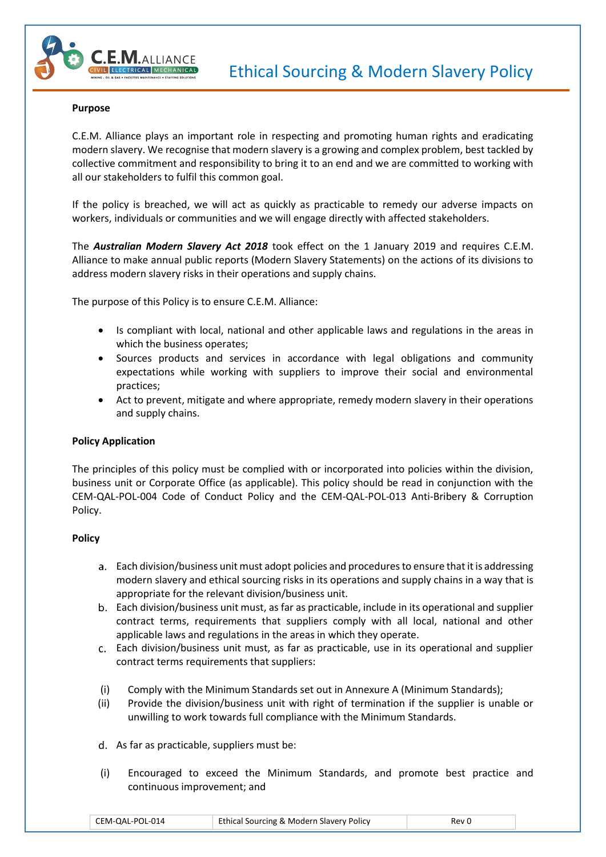

### **Purpose**

C.E.M. Alliance plays an important role in respecting and promoting human rights and eradicating modern slavery. We recognise that modern slavery is a growing and complex problem, best tackled by collective commitment and responsibility to bring it to an end and we are committed to working with all our stakeholders to fulfil this common goal.

If the policy is breached, we will act as quickly as practicable to remedy our adverse impacts on workers, individuals or communities and we will engage directly with affected stakeholders.

The *Australian Modern Slavery Act 2018* took effect on the 1 January 2019 and requires C.E.M. Alliance to make annual public reports (Modern Slavery Statements) on the actions of its divisions to address modern slavery risks in their operations and supply chains.

The purpose of this Policy is to ensure C.E.M. Alliance:

- Is compliant with local, national and other applicable laws and regulations in the areas in which the business operates;
- Sources products and services in accordance with legal obligations and community expectations while working with suppliers to improve their social and environmental practices;
- Act to prevent, mitigate and where appropriate, remedy modern slavery in their operations and supply chains.

## **Policy Application**

The principles of this policy must be complied with or incorporated into policies within the division, business unit or Corporate Office (as applicable). This policy should be read in conjunction with the CEM-QAL-POL-004 Code of Conduct Policy and the CEM-QAL-POL-013 Anti-Bribery & Corruption Policy.

## **Policy**

- Each division/business unit must adopt policies and procedures to ensure that it is addressing modern slavery and ethical sourcing risks in its operations and supply chains in a way that is appropriate for the relevant division/business unit.
- Each division/business unit must, as far as practicable, include in its operational and supplier contract terms, requirements that suppliers comply with all local, national and other applicable laws and regulations in the areas in which they operate.
- Each division/business unit must, as far as practicable, use in its operational and supplier contract terms requirements that suppliers:
- (i) Comply with the Minimum Standards set out in Annexure A (Minimum Standards);
- (ii) Provide the division/business unit with right of termination if the supplier is unable or unwilling to work towards full compliance with the Minimum Standards.
- d. As far as practicable, suppliers must be:
- (i) Encouraged to exceed the Minimum Standards, and promote best practice and continuous improvement; and

| CEM-QAL-POL-014 | <b>Ethical Sourcing &amp; Modern Slavery Policy</b> | Rev C |
|-----------------|-----------------------------------------------------|-------|
|-----------------|-----------------------------------------------------|-------|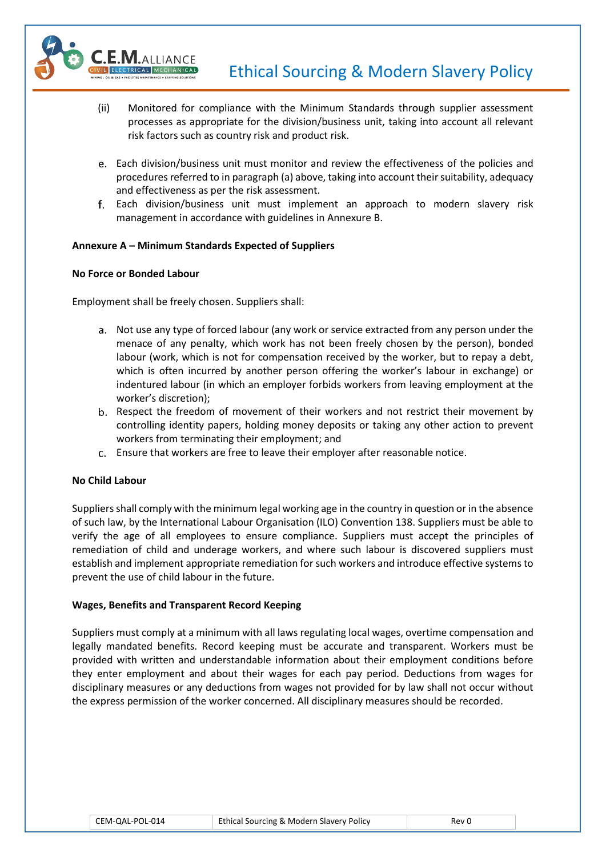

- (ii) Monitored for compliance with the Minimum Standards through supplier assessment processes as appropriate for the division/business unit, taking into account all relevant risk factors such as country risk and product risk.
- Each division/business unit must monitor and review the effectiveness of the policies and procedures referred to in paragraph (a) above, taking into account their suitability, adequacy and effectiveness as per the risk assessment.
- Each division/business unit must implement an approach to modern slavery risk management in accordance with guidelines in Annexure B.

# **Annexure A – Minimum Standards Expected of Suppliers**

## **No Force or Bonded Labour**

Employment shall be freely chosen. Suppliers shall:

- Not use any type of forced labour (any work or service extracted from any person under the menace of any penalty, which work has not been freely chosen by the person), bonded labour (work, which is not for compensation received by the worker, but to repay a debt, which is often incurred by another person offering the worker's labour in exchange) or indentured labour (in which an employer forbids workers from leaving employment at the worker's discretion);
- b. Respect the freedom of movement of their workers and not restrict their movement by controlling identity papers, holding money deposits or taking any other action to prevent workers from terminating their employment; and
- Ensure that workers are free to leave their employer after reasonable notice.

## **No Child Labour**

Suppliers shall comply with the minimum legal working age in the country in question or in the absence of such law, by the International Labour Organisation (ILO) Convention 138. Suppliers must be able to verify the age of all employees to ensure compliance. Suppliers must accept the principles of remediation of child and underage workers, and where such labour is discovered suppliers must establish and implement appropriate remediation for such workers and introduce effective systems to prevent the use of child labour in the future.

## **Wages, Benefits and Transparent Record Keeping**

Suppliers must comply at a minimum with all laws regulating local wages, overtime compensation and legally mandated benefits. Record keeping must be accurate and transparent. Workers must be provided with written and understandable information about their employment conditions before they enter employment and about their wages for each pay period. Deductions from wages for disciplinary measures or any deductions from wages not provided for by law shall not occur without the express permission of the worker concerned. All disciplinary measures should be recorded.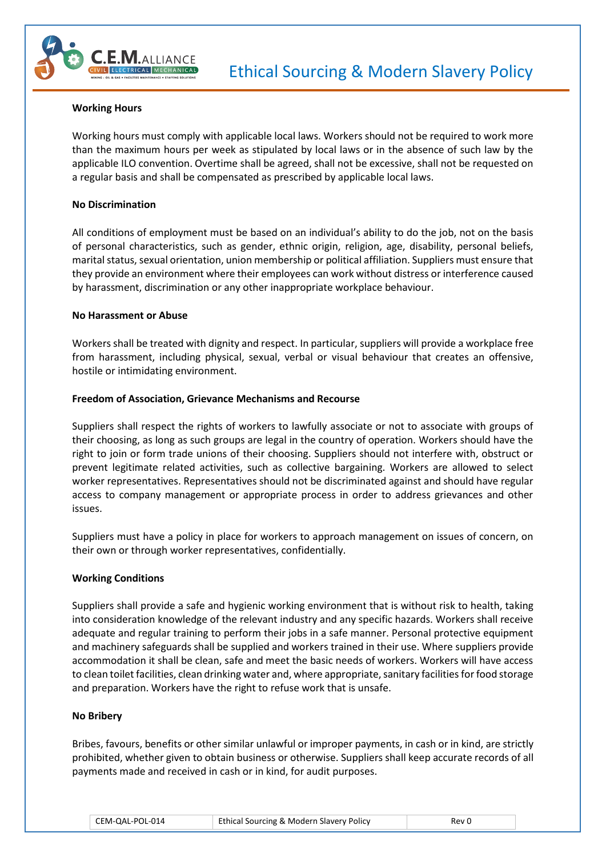

### **Working Hours**

Working hours must comply with applicable local laws. Workers should not be required to work more than the maximum hours per week as stipulated by local laws or in the absence of such law by the applicable ILO convention. Overtime shall be agreed, shall not be excessive, shall not be requested on a regular basis and shall be compensated as prescribed by applicable local laws.

### **No Discrimination**

All conditions of employment must be based on an individual's ability to do the job, not on the basis of personal characteristics, such as gender, ethnic origin, religion, age, disability, personal beliefs, marital status, sexual orientation, union membership or political affiliation. Suppliers must ensure that they provide an environment where their employees can work without distress or interference caused by harassment, discrimination or any other inappropriate workplace behaviour.

### **No Harassment or Abuse**

Workers shall be treated with dignity and respect. In particular, suppliers will provide a workplace free from harassment, including physical, sexual, verbal or visual behaviour that creates an offensive, hostile or intimidating environment.

### **Freedom of Association, Grievance Mechanisms and Recourse**

Suppliers shall respect the rights of workers to lawfully associate or not to associate with groups of their choosing, as long as such groups are legal in the country of operation. Workers should have the right to join or form trade unions of their choosing. Suppliers should not interfere with, obstruct or prevent legitimate related activities, such as collective bargaining. Workers are allowed to select worker representatives. Representatives should not be discriminated against and should have regular access to company management or appropriate process in order to address grievances and other issues.

Suppliers must have a policy in place for workers to approach management on issues of concern, on their own or through worker representatives, confidentially.

## **Working Conditions**

Suppliers shall provide a safe and hygienic working environment that is without risk to health, taking into consideration knowledge of the relevant industry and any specific hazards. Workers shall receive adequate and regular training to perform their jobs in a safe manner. Personal protective equipment and machinery safeguards shall be supplied and workers trained in their use. Where suppliers provide accommodation it shall be clean, safe and meet the basic needs of workers. Workers will have access to clean toilet facilities, clean drinking water and, where appropriate, sanitary facilities for food storage and preparation. Workers have the right to refuse work that is unsafe.

#### **No Bribery**

Bribes, favours, benefits or other similar unlawful or improper payments, in cash or in kind, are strictly prohibited, whether given to obtain business or otherwise. Suppliers shall keep accurate records of all payments made and received in cash or in kind, for audit purposes.

| Ethical Sourcing & Modern Slavery Policy<br>CEM-QAL-POL-014 | Rev 0 |
|-------------------------------------------------------------|-------|
|-------------------------------------------------------------|-------|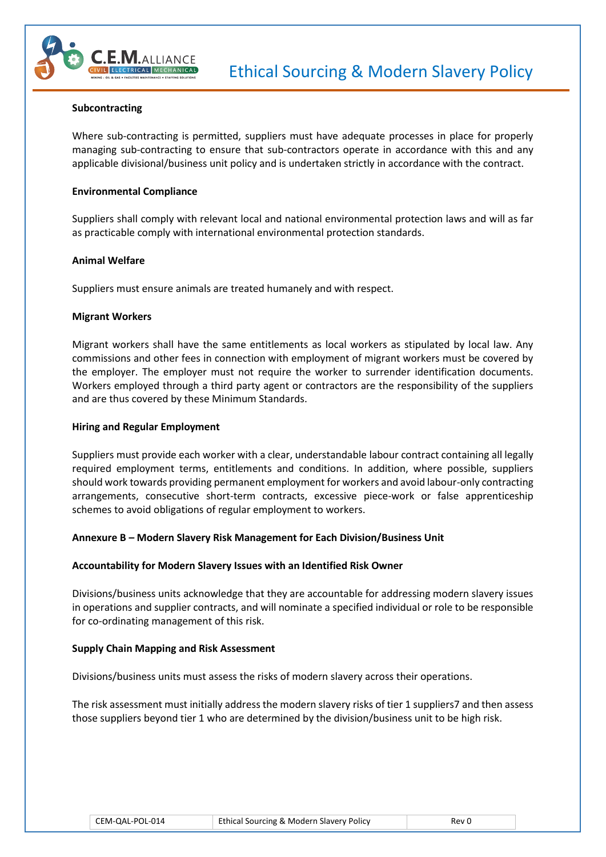

#### **Subcontracting**

Where sub-contracting is permitted, suppliers must have adequate processes in place for properly managing sub-contracting to ensure that sub-contractors operate in accordance with this and any applicable divisional/business unit policy and is undertaken strictly in accordance with the contract.

### **Environmental Compliance**

Suppliers shall comply with relevant local and national environmental protection laws and will as far as practicable comply with international environmental protection standards.

### **Animal Welfare**

Suppliers must ensure animals are treated humanely and with respect.

### **Migrant Workers**

Migrant workers shall have the same entitlements as local workers as stipulated by local law. Any commissions and other fees in connection with employment of migrant workers must be covered by the employer. The employer must not require the worker to surrender identification documents. Workers employed through a third party agent or contractors are the responsibility of the suppliers and are thus covered by these Minimum Standards.

### **Hiring and Regular Employment**

Suppliers must provide each worker with a clear, understandable labour contract containing all legally required employment terms, entitlements and conditions. In addition, where possible, suppliers should work towards providing permanent employment for workers and avoid labour-only contracting arrangements, consecutive short-term contracts, excessive piece-work or false apprenticeship schemes to avoid obligations of regular employment to workers.

## **Annexure B – Modern Slavery Risk Management for Each Division/Business Unit**

## **Accountability for Modern Slavery Issues with an Identified Risk Owner**

Divisions/business units acknowledge that they are accountable for addressing modern slavery issues in operations and supplier contracts, and will nominate a specified individual or role to be responsible for co-ordinating management of this risk.

## **Supply Chain Mapping and Risk Assessment**

Divisions/business units must assess the risks of modern slavery across their operations.

The risk assessment must initially address the modern slavery risks of tier 1 suppliers7 and then assess those suppliers beyond tier 1 who are determined by the division/business unit to be high risk.